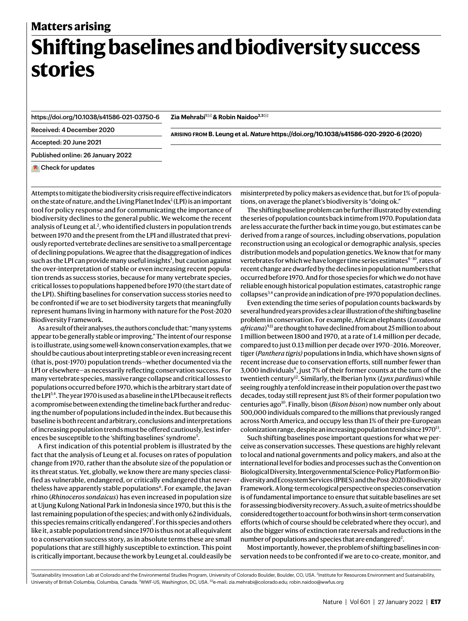### **Matters arising**

# **Shifting baselines and biodiversity success stories**

<https://doi.org/10.1038/s41586-021-03750-6>

**Zia Mehrabi1** ✉ **& Robin Naidoo2,3** ✉

Received: 4 December 2020

**arising from B. Leung et al.** *Nature* **<https://doi.org/10.1038/s41586-020-2920-6>(2020)**

Accepted: 20 June 2021

Published online: 26 January 2022

**Check for updates** 

Attempts to mitigate the biodiversity crisis require effective indicators on the state of nature, and the Living Planet Index $^1$  $^1$  (LPI) is an important tool for policy response and for communicating the importance of biodiversity declines to the general public. We welcome the recent analysis of Leung et al.<sup>[2](#page-1-1)</sup>, who identified clusters in population trends between 1970 and the present from the LPI and illustrated that previously reported vertebrate declines are sensitive to a small percentage of declining populations. We agree that the disaggregation of indices such as the LPI can provide many useful insights<sup>1</sup>, but caution against the over-interpretation of stable or even increasing recent population trends as success stories, because for many vertebrate species, critical losses to populations happened before 1970 (the start date of the LPI). Shifting baselines for conservation success stories need to be confronted if we are to set biodiversity targets that meaningfully represent humans living in harmony with nature for the Post-2020 Biodiversity Framework.

As a result of their analyses, the authors conclude that: "many systems appear to be generally stable or improving." The intent of our response is to illustrate, using some well-known conservation examples, that we should be cautious about interpreting stable or even increasing recent (that is, post-1970) population trends—whether documented via the LPI or elsewhere—as necessarily reflecting conservation success. For many vertebrate species, massive range collapse and critical losses to populations occurred before 1970, which is the arbitrary start date of the LPI<sup>3[,4](#page-1-3)</sup>. The year 1970 is used as a baseline in the LPI because it reflects a compromise between extending the timeline back further and reducing the number of populations included in the index. But because this baseline is both recent and arbitrary, conclusions and interpretations of increasing population trends must be offered cautiously, lest infer-ences be susceptible to the 'shifting baselines' syndrome<sup>[5](#page-1-4)</sup>.

A first indication of this potential problem is illustrated by the fact that the analysis of Leung et al. focuses on rates of population change from 1970, rather than the absolute size of the population or its threat status. Yet, globally, we know there are many species classified as vulnerable, endangered, or critically endangered that never-theless have apparently stable populations<sup>[6](#page-1-5)</sup>. For example, the Javan rhino (*Rhinoceros sondaicus*) has even increased in population size at Ujung Kulong National Park in Indonesia since 1970, but this is the last remaining population of the species; and with only 62 individuals, this species remains critically endangered<sup>[7](#page-1-6)</sup>. For this species and others like it, a stable population trend since 1970 is thus not at all equivalent to a conservation success story, as in absolute terms these are small populations that are still highly susceptible to extinction. This point is critically important, because the work by Leung et al. could easily be misinterpreted by policy makers as evidence that, but for 1% of populations, on average the planet's biodiversity is "doing ok."

The shifting baseline problem can be further illustrated by extending the series of population counts back in time from 1970. Population data are less accurate the further back in time you go, but estimates can be derived from a range of sources, including observations, population reconstruction using an ecological or demographic analysis, species distribution models and population genetics. We know that for many vertebrates for which we have longer time series estimates<sup>[8](#page-1-7)-10</sup>, rates of recent change are dwarfed by the declines in population numbers that occurred before 1970. And for those species for which we do not have reliable enough historical population estimates, catastrophic range collapses<sup>[3](#page-1-2),[4](#page-1-3)</sup> can provide an indication of pre-1970 population declines.

Even extending the time series of population counts backwards by several hundred years provides a clear illustration of the shifting baseline problem in conservation. For example, African elephants (*Loxodonta africana*) [9](#page-1-9),[11](#page-1-10) are thought to have declined from about 25 million to about 1 million between 1800 and 1970, at a rate of 1.4 million per decade, compared to just 0.13 million per decade over 1970–2016. Moreover, tiger (*Panthera tigris)* populations in India, which have shown signs of recent increase due to conservation efforts, still number fewer than 3,000 individuals<sup>8</sup>, just 7% of their former counts at the turn of the twentieth century<sup>12</sup>. Similarly, the Iberian lynx (*Lynx pardinus*) while seeing roughly a tenfold increase in their population over the past two decades, today still represent just 8% of their former population two centuries ago<sup>10</sup>. Finally, bison (*Bison bison*) now number only about 500,000 individuals compared to the millions that previously ranged across North America, and occupy less than 1% of their pre-European colonization range, despite an increasing population trend since  $1970^{13}$  $1970^{13}$  $1970^{13}$ .

Such shifting baselines pose important questions for what we perceive as conservation successes. These questions are highly relevant to local and national governments and policy makers, and also at the international level for bodies and processes such as the Convention on Biological Diversity, Intergovernmental Science-Policy Platform on Biodiversity and Ecosystem Services (IPBES) and the Post-2020 Biodiversity Framework. A long-term ecological perspective on species conservation is of fundamental importance to ensure that suitable baselines are set for assessing biodiversity recovery. As such, a suite of metrics should be considered together to account for both wins in short-term conservation efforts (which of course should be celebrated where they occur), and also the bigger wins of extinction rate reversals and reductions in the number of populations and species that are endangered<sup>2</sup>.

Most importantly, however, the problem of shifting baselines in conservation needs to be confronted if we are to co-create, monitor, and

<sup>1</sup>Sustainability Innovation Lab at Colorado and the Environmental Studies Program, University of Colorado Boulder, Boulder, CO, USA. <sup>2</sup>Institute for Resources Environment and Sustainability, University of British Columbia, Columbia, Canada. <sup>3</sup>WWF-US, Washington, DC, USA. <sup>⊠</sup>e-mail: [zia.mehrabi@colorado.edu](mailto:zia.mehrabi@colorado.edu); [robin.naidoo@wwfus.org](mailto:robin.naidoo@wwfus.org)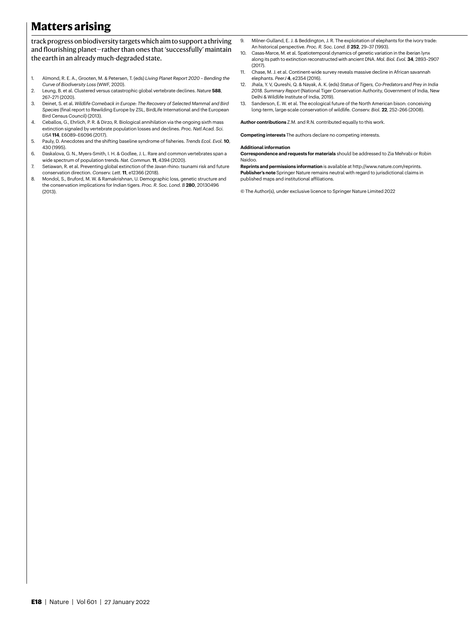### **Matters arising**

track progress on biodiversity targets which aim to support a thriving and flourishing planet—rather than ones that 'successfully' maintain the earth in an already much-degraded state.

- <span id="page-1-0"></span>1. Almond, R. E. A., Grooten, M. & Petersen, T. (eds) *Living Planet Report 2020 – Bending the Curve of Biodiversity Loss* (WWF, 2020).
- <span id="page-1-1"></span>2. Leung, B. et al. Clustered versus catastrophic global vertebrate declines. *Nature* **588**, 267–271 (2020).
- <span id="page-1-2"></span>3. Deinet, S. et al. *Wildlife Comeback in Europe: The Recovery of Selected Mammal and Bird Species* (final report to Rewilding Europe by ZSL, BirdLife International and the European Bird Census Council) (2013).
- <span id="page-1-3"></span>4. Ceballos, G., Ehrlich, P. R. & Dirzo, R. Biological annihilation via the ongoing sixth mass extinction signaled by vertebrate population losses and declines. *Proc. Natl Acad. Sci. USA* **114**, E6089–E6096 (2017).
- <span id="page-1-4"></span>5. Pauly, D. Anecdotes and the shifting baseline syndrome of fisheries. *Trends Ecol. Evol.* **10**, 430 (1995).
- <span id="page-1-5"></span>6. Daskalova, G. N., Myers-Smith, I. H. & Godlee, J. L. Rare and common vertebrates span a wide spectrum of population trends. *Nat. Commun.* **11**, 4394 (2020).
- <span id="page-1-6"></span>7. Setiawan, R. et al. Preventing global extinction of the Javan rhino: tsunami risk and future conservation direction. *Conserv. Lett.* **11**, e12366 (2018).
- <span id="page-1-7"></span>8. Mondol, S., Bruford, M. W. & Ramakrishnan, U. Demographic loss, genetic structure and the conservation implications for Indian tigers. *Proc. R. Soc. Lond. B* **280**, 20130496 (2013).
- <span id="page-1-9"></span>9. Milner-Gulland, E. J. & Beddington, J. R. The exploitation of elephants for the ivory trade: An historical perspective. *Proc. R. Soc. Lond. B* **252**, 29–37 (1993).
- <span id="page-1-8"></span>10. Casas-Marce, M. et al. Spatiotemporal dynamics of genetic variation in the iberian lynx along its path to extinction reconstructed with ancient DNA. *Mol. Biol. Evol.* **34**, 2893–2907 (2017).
- <span id="page-1-10"></span>11. Chase, M. J. et al. Continent-wide survey reveals massive decline in African savannah elephants. *PeerJ* **4**, e2354 (2016).
- <span id="page-1-11"></span>12. Jhala, Y. V, Qureshi, Q. & Nayak, A. K. (eds) *Status of Tigers, Co-Predators and Prey in India 2018. Summary Report* (National Tiger Conservation Authority, Government of India, New Delhi & Wildlife Institute of India, 2019).
- <span id="page-1-12"></span>13. Sanderson, E. W. et al. The ecological future of the North American bison: conceiving long-term, large-scale conservation of wildlife. *Conserv. Biol.* **22**, 252–266 (2008).

**Author contributions** Z.M. and R.N. contributed equally to this work.

**Competing interests** The authors declare no competing interests.

#### **Additional information**

**Correspondence and requests for materials** should be addressed to Zia Mehrabi or Robin Naidoo.

**Reprints and permissions information** is available at<http://www.nature.com/reprints>. **Publisher's note** Springer Nature remains neutral with regard to jurisdictional claims in published maps and institutional affiliations.

© The Author(s), under exclusive licence to Springer Nature Limited 2022